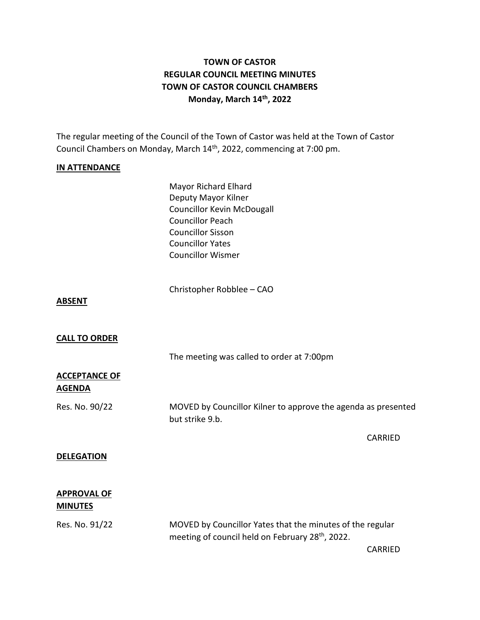# **TOWN OF CASTOR REGULAR COUNCIL MEETING MINUTES TOWN OF CASTOR COUNCIL CHAMBERS Monday, March 14th , 2022**

The regular meeting of the Council of the Town of Castor was held at the Town of Castor Council Chambers on Monday, March 14<sup>th</sup>, 2022, commencing at 7:00 pm.

### **IN ATTENDANCE**

Mayor Richard Elhard Deputy Mayor Kilner Councillor Kevin McDougall Councillor Peach Councillor Sisson Councillor Yates Councillor Wismer

Christopher Robblee – CAO

### **ABSENT**

### **CALL TO ORDER**

The meeting was called to order at 7:00pm

### **ACCEPTANCE OF AGENDA**

Res. No. 90/22 MOVED by Councillor Kilner to approve the agenda as presented but strike 9.b.

#### **DELEGATION**

### **APPROVAL OF MINUTES**

Res. No. 91/22 MOVED by Councillor Yates that the minutes of the regular meeting of council held on February 28<sup>th</sup>, 2022.

CARRIED

CARRIED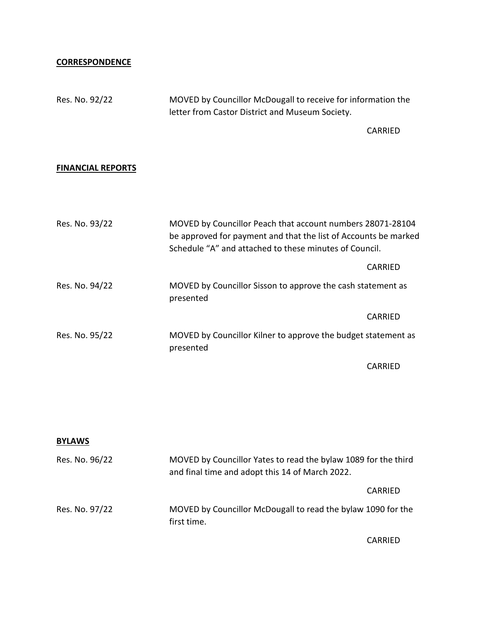### **CORRESPONDENCE**

Res. No. 92/22 MOVED by Councillor McDougall to receive for information the letter from Castor District and Museum Society.

CARRIED

### **FINANCIAL REPORTS**

| Res. No. 93/22 | MOVED by Councillor Peach that account numbers 28071-28104<br>be approved for payment and that the list of Accounts be marked<br>Schedule "A" and attached to these minutes of Council. |         |
|----------------|-----------------------------------------------------------------------------------------------------------------------------------------------------------------------------------------|---------|
|                |                                                                                                                                                                                         | CARRIED |
| Res. No. 94/22 | MOVED by Councillor Sisson to approve the cash statement as<br>presented                                                                                                                |         |
|                |                                                                                                                                                                                         | CARRIED |
| Res. No. 95/22 | MOVED by Councillor Kilner to approve the budget statement as<br>presented                                                                                                              |         |
|                |                                                                                                                                                                                         | CARRIED |

## **BYLAWS**

| Res. No. 96/22 | MOVED by Councillor Yates to read the bylaw 1089 for the third<br>and final time and adopt this 14 of March 2022. |         |
|----------------|-------------------------------------------------------------------------------------------------------------------|---------|
|                |                                                                                                                   | CARRIED |
| Res. No. 97/22 | MOVED by Councillor McDougall to read the bylaw 1090 for the<br>first time.                                       |         |

CARRIED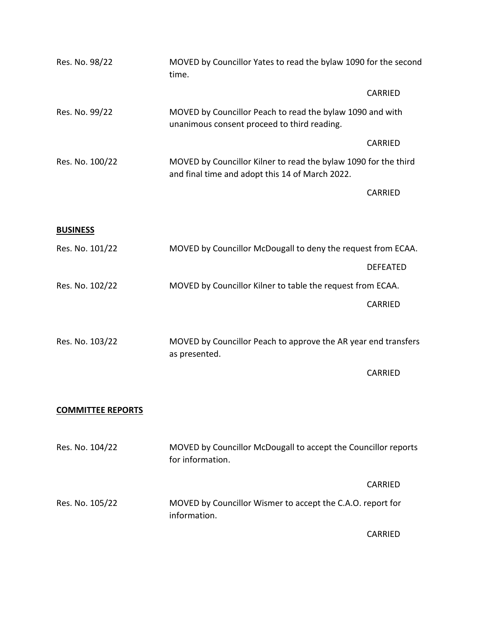| Res. No. 98/22           | MOVED by Councillor Yates to read the bylaw 1090 for the second<br>time.                                           |                 |
|--------------------------|--------------------------------------------------------------------------------------------------------------------|-----------------|
|                          |                                                                                                                    | <b>CARRIED</b>  |
| Res. No. 99/22           | MOVED by Councillor Peach to read the bylaw 1090 and with<br>unanimous consent proceed to third reading.           |                 |
|                          |                                                                                                                    | <b>CARRIED</b>  |
| Res. No. 100/22          | MOVED by Councillor Kilner to read the bylaw 1090 for the third<br>and final time and adopt this 14 of March 2022. |                 |
|                          |                                                                                                                    | <b>CARRIED</b>  |
| <b>BUSINESS</b>          |                                                                                                                    |                 |
| Res. No. 101/22          | MOVED by Councillor McDougall to deny the request from ECAA.                                                       |                 |
|                          |                                                                                                                    | <b>DEFEATED</b> |
| Res. No. 102/22          | MOVED by Councillor Kilner to table the request from ECAA.                                                         |                 |
|                          |                                                                                                                    | CARRIED         |
| Res. No. 103/22          | MOVED by Councillor Peach to approve the AR year end transfers<br>as presented.                                    |                 |
|                          |                                                                                                                    | CARRIED         |
| <b>COMMITTEE REPORTS</b> |                                                                                                                    |                 |
| Res. No. 104/22          | MOVED by Councillor McDougall to accept the Councillor reports<br>for information.                                 |                 |
|                          |                                                                                                                    | <b>CARRIED</b>  |
| Res. No. 105/22          | MOVED by Councillor Wismer to accept the C.A.O. report for<br>information.                                         |                 |
|                          |                                                                                                                    | CARRIED         |